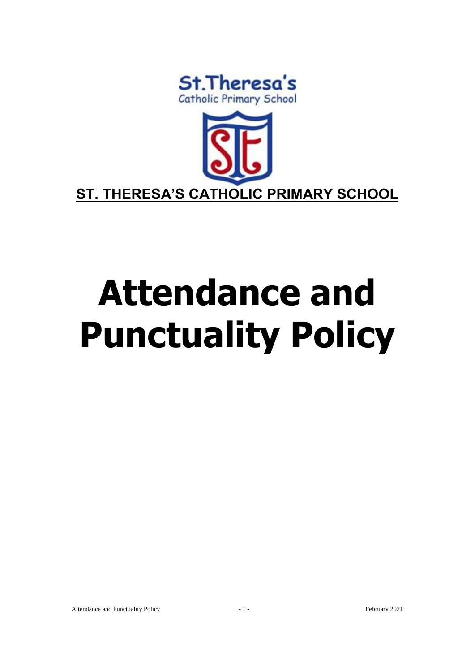



# **Attendance and Punctuality Policy**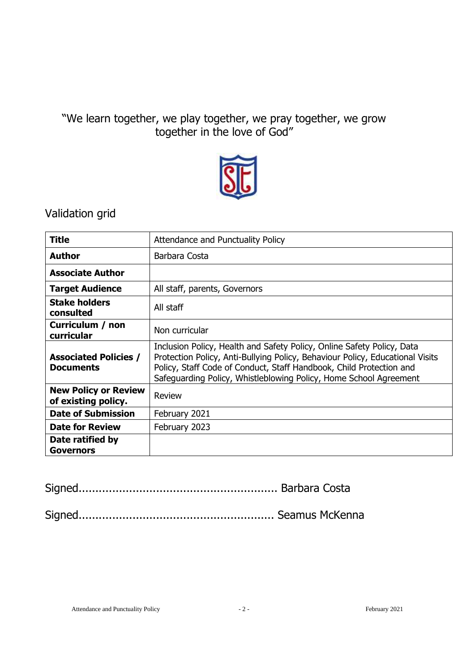# "We learn together, we play together, we pray together, we grow together in the love of God"



# Validation grid

| <b>Title</b>                                       | Attendance and Punctuality Policy                                                                                                                                                                                                                                                                   |  |
|----------------------------------------------------|-----------------------------------------------------------------------------------------------------------------------------------------------------------------------------------------------------------------------------------------------------------------------------------------------------|--|
| <b>Author</b>                                      | Barbara Costa                                                                                                                                                                                                                                                                                       |  |
| <b>Associate Author</b>                            |                                                                                                                                                                                                                                                                                                     |  |
| <b>Target Audience</b>                             | All staff, parents, Governors                                                                                                                                                                                                                                                                       |  |
| <b>Stake holders</b><br>consulted                  | All staff                                                                                                                                                                                                                                                                                           |  |
| Curriculum / non<br>curricular                     | Non curricular                                                                                                                                                                                                                                                                                      |  |
| <b>Associated Policies /</b><br><b>Documents</b>   | Inclusion Policy, Health and Safety Policy, Online Safety Policy, Data<br>Protection Policy, Anti-Bullying Policy, Behaviour Policy, Educational Visits<br>Policy, Staff Code of Conduct, Staff Handbook, Child Protection and<br>Safeguarding Policy, Whistleblowing Policy, Home School Agreement |  |
| <b>New Policy or Review</b><br>of existing policy. | Review                                                                                                                                                                                                                                                                                              |  |
| <b>Date of Submission</b>                          | February 2021                                                                                                                                                                                                                                                                                       |  |
| <b>Date for Review</b>                             | February 2023                                                                                                                                                                                                                                                                                       |  |
| Date ratified by<br><b>Governors</b>               |                                                                                                                                                                                                                                                                                                     |  |

Signed........................................................... Barbara Costa

Signed.......................................................... Seamus McKenna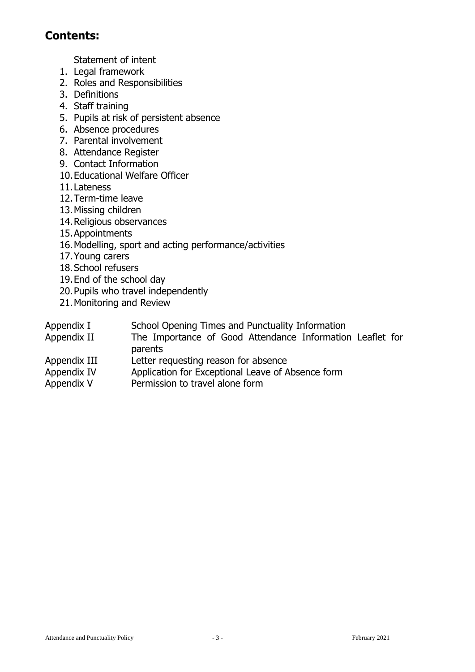# **Contents:**

Statement of intent

- 1. Legal framework
- 2. Roles and Responsibilities
- 3. Definitions
- 4. Staff training
- 5. Pupils at risk of persistent absence
- 6. Absence procedures
- 7. Parental involvement
- 8. Attendance Register
- 9. Contact Information
- 10.Educational Welfare Officer
- 11.Lateness
- 12.Term-time leave
- 13.Missing children
- 14.Religious observances
- 15.Appointments
- 16.Modelling, sport and acting performance/activities
- 17.Young carers
- 18.School refusers
- 19.End of the school day
- 20.Pupils who travel independently
- 21.Monitoring and Review
- Appendix I School Opening Times and Punctuality Information
- Appendix II The Importance of Good Attendance Information Leaflet for parents
- Appendix III Letter requesting reason for absence
- Appendix IV Application for Exceptional Leave of Absence form
- Appendix V Permission to travel alone form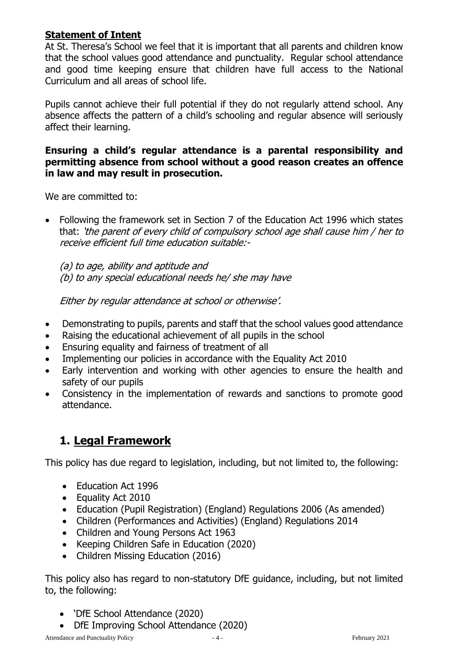#### **Statement of Intent**

At St. Theresa's School we feel that it is important that all parents and children know that the school values good attendance and punctuality. Regular school attendance and good time keeping ensure that children have full access to the National Curriculum and all areas of school life.

Pupils cannot achieve their full potential if they do not regularly attend school. Any absence affects the pattern of a child's schooling and regular absence will seriously affect their learning.

#### **Ensuring a child's regular attendance is a parental responsibility and permitting absence from school without a good reason creates an offence in law and may result in prosecution.**

We are committed to:

 Following the framework set in Section 7 of the Education Act 1996 which states that: 'the parent of every child of compulsory school age shall cause him / her to receive efficient full time education suitable:-

(a) to age, ability and aptitude and (b) to any special educational needs he/ she may have

Either by regular attendance at school or otherwise'.

- Demonstrating to pupils, parents and staff that the school values good attendance
- Raising the educational achievement of all pupils in the school
- Ensuring equality and fairness of treatment of all
- Implementing our policies in accordance with the Equality Act 2010
- Early intervention and working with other agencies to ensure the health and safety of our pupils
- Consistency in the implementation of rewards and sanctions to promote good attendance.

# **1. Legal Framework**

This policy has due regard to legislation, including, but not limited to, the following:

- Fducation Act 1996
- Equality Act 2010
- Education (Pupil Registration) (England) Regulations 2006 (As amended)
- Children (Performances and Activities) (England) Regulations 2014
- Children and Young Persons Act 1963
- Keeping Children Safe in Education (2020)
- Children Missing Education (2016)

This policy also has regard to non-statutory DfE guidance, including, but not limited to, the following:

- 'DfE School Attendance (2020)
- DfE Improving School Attendance (2020)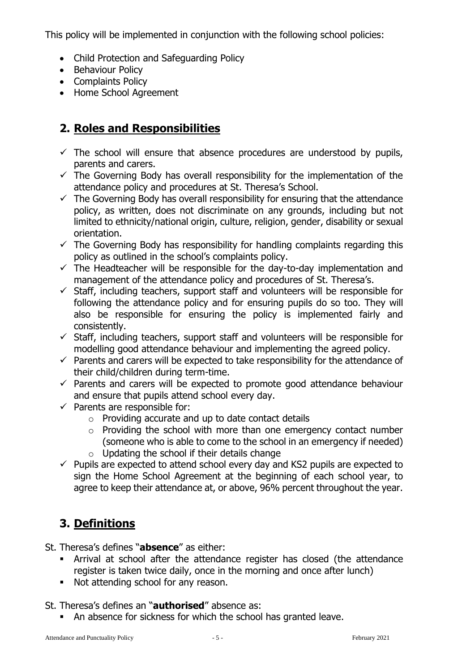This policy will be implemented in conjunction with the following school policies:

- Child Protection and Safeguarding Policy
- Behaviour Policy
- Complaints Policy
- Home School Agreement

# **2. Roles and Responsibilities**

- $\checkmark$  The school will ensure that absence procedures are understood by pupils, parents and carers.
- $\checkmark$  The Governing Body has overall responsibility for the implementation of the attendance policy and procedures at St. Theresa's School.
- $\checkmark$  The Governing Body has overall responsibility for ensuring that the attendance policy, as written, does not discriminate on any grounds, including but not limited to ethnicity/national origin, culture, religion, gender, disability or sexual orientation.
- $\checkmark$  The Governing Body has responsibility for handling complaints regarding this policy as outlined in the school's complaints policy.
- $\checkmark$  The Headteacher will be responsible for the day-to-day implementation and management of the attendance policy and procedures of St. Theresa's.
- $\checkmark$  Staff, including teachers, support staff and volunteers will be responsible for following the attendance policy and for ensuring pupils do so too. They will also be responsible for ensuring the policy is implemented fairly and consistently.
- $\checkmark$  Staff, including teachers, support staff and volunteers will be responsible for modelling good attendance behaviour and implementing the agreed policy.
- $\checkmark$  Parents and carers will be expected to take responsibility for the attendance of their child/children during term-time.
- $\checkmark$  Parents and carers will be expected to promote good attendance behaviour and ensure that pupils attend school every day.
- $\checkmark$  Parents are responsible for:
	- o Providing accurate and up to date contact details
	- o Providing the school with more than one emergency contact number (someone who is able to come to the school in an emergency if needed)
	- $\circ$  Updating the school if their details change
- $\checkmark$  Pupils are expected to attend school every day and KS2 pupils are expected to sign the Home School Agreement at the beginning of each school year, to agree to keep their attendance at, or above, 96% percent throughout the year.

# **3. Definitions**

St. Theresa's defines "**absence**" as either:

- Arrival at school after the attendance register has closed (the attendance register is taken twice daily, once in the morning and once after lunch)
- Not attending school for any reason.

St. Theresa's defines an "**authorised**" absence as:

An absence for sickness for which the school has granted leave.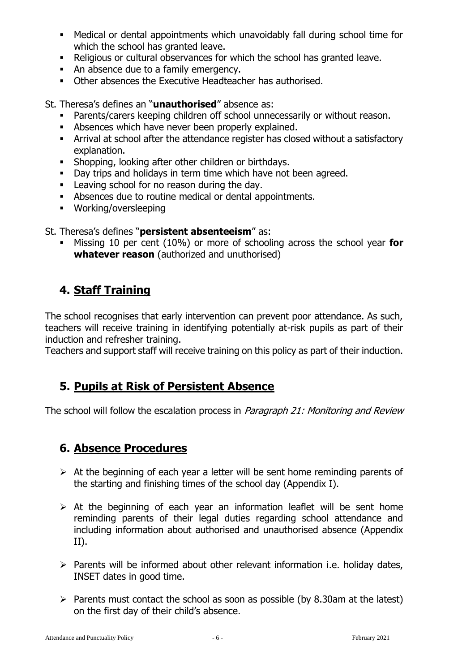- Medical or dental appointments which unavoidably fall during school time for which the school has granted leave.
- Religious or cultural observances for which the school has granted leave.
- An absence due to a family emergency.
- Other absences the Executive Headteacher has authorised.

St. Theresa's defines an "**unauthorised**" absence as:

- Parents/carers keeping children off school unnecessarily or without reason.
- **Absences which have never been properly explained.**
- Arrival at school after the attendance register has closed without a satisfactory explanation.
- Shopping, looking after other children or birthdays.
- Day trips and holidays in term time which have not been agreed.
- **EXECUTE:** Leaving school for no reason during the day.
- Absences due to routine medical or dental appointments.
- Working/oversleeping

St. Theresa's defines "**persistent absenteeism**" as:

 Missing 10 per cent (10%) or more of schooling across the school year **for whatever reason** (authorized and unuthorised)

# **4. Staff Training**

The school recognises that early intervention can prevent poor attendance. As such, teachers will receive training in identifying potentially at-risk pupils as part of their induction and refresher training.

Teachers and support staff will receive training on this policy as part of their induction.

# **5. Pupils at Risk of Persistent Absence**

The school will follow the escalation process in Paragraph 21: Monitoring and Review

# **6. Absence Procedures**

- $\triangleright$  At the beginning of each year a letter will be sent home reminding parents of the starting and finishing times of the school day (Appendix I).
- $\triangleright$  At the beginning of each year an information leaflet will be sent home reminding parents of their legal duties regarding school attendance and including information about authorised and unauthorised absence (Appendix II).
- $\triangleright$  Parents will be informed about other relevant information i.e. holidav dates, INSET dates in good time.
- $\triangleright$  Parents must contact the school as soon as possible (by 8.30am at the latest) on the first day of their child's absence.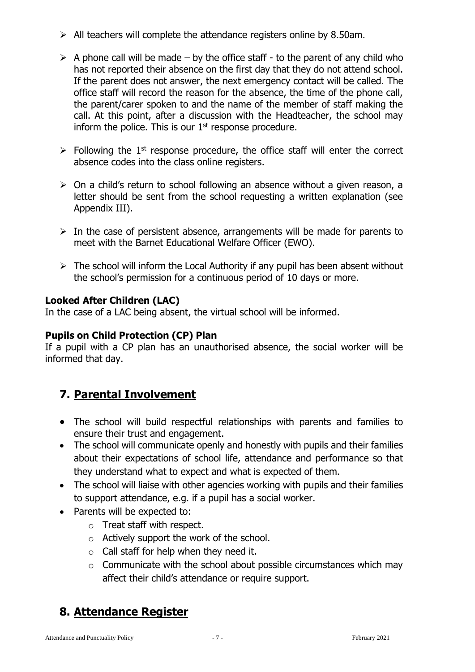- $\triangleright$  All teachers will complete the attendance registers online by 8.50am.
- $\triangleright$  A phone call will be made by the office staff to the parent of any child who has not reported their absence on the first day that they do not attend school. If the parent does not answer, the next emergency contact will be called. The office staff will record the reason for the absence, the time of the phone call, the parent/carer spoken to and the name of the member of staff making the call. At this point, after a discussion with the Headteacher, the school may inform the police. This is our  $1<sup>st</sup>$  response procedure.
- $\triangleright$  Following the 1<sup>st</sup> response procedure, the office staff will enter the correct absence codes into the class online registers.
- $\triangleright$  On a child's return to school following an absence without a given reason, a letter should be sent from the school requesting a written explanation (see Appendix III).
- $\triangleright$  In the case of persistent absence, arrangements will be made for parents to meet with the Barnet Educational Welfare Officer (EWO).
- $\triangleright$  The school will inform the Local Authority if any pupil has been absent without the school's permission for a continuous period of 10 days or more.

#### **Looked After Children (LAC)**

In the case of a LAC being absent, the virtual school will be informed.

#### **Pupils on Child Protection (CP) Plan**

If a pupil with a CP plan has an unauthorised absence, the social worker will be informed that day.

# **7. Parental Involvement**

- The school will build respectful relationships with parents and families to ensure their trust and engagement.
- The school will communicate openly and honestly with pupils and their families about their expectations of school life, attendance and performance so that they understand what to expect and what is expected of them.
- The school will liaise with other agencies working with pupils and their families to support attendance, e.g. if a pupil has a social worker.
- Parents will be expected to:
	- o Treat staff with respect.
	- o Actively support the work of the school.
	- $\circ$  Call staff for help when they need it.
	- $\circ$  Communicate with the school about possible circumstances which may affect their child's attendance or require support.

# **8. Attendance Register**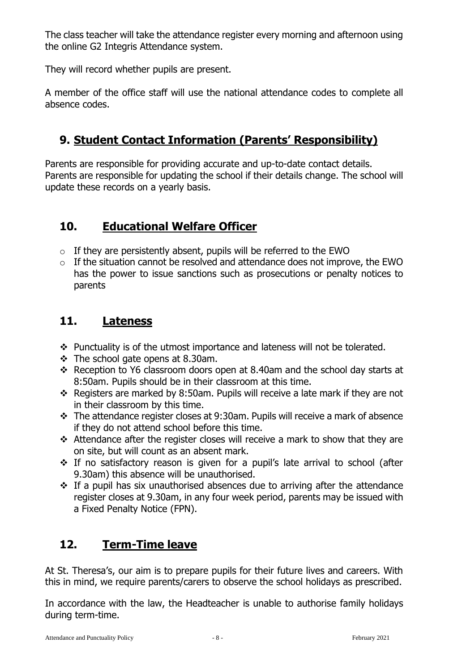The class teacher will take the attendance register every morning and afternoon using the online G2 Integris Attendance system.

They will record whether pupils are present.

A member of the office staff will use the national attendance codes to complete all absence codes.

# **9. Student Contact Information (Parents' Responsibility)**

Parents are responsible for providing accurate and up-to-date contact details. Parents are responsible for updating the school if their details change. The school will update these records on a yearly basis.

# **10. Educational Welfare Officer**

- $\circ$  If they are persistently absent, pupils will be referred to the EWO
- $\circ$  If the situation cannot be resolved and attendance does not improve, the EWO has the power to issue sanctions such as prosecutions or penalty notices to parents

# **11. Lateness**

- \* Punctuality is of the utmost importance and lateness will not be tolerated.
- $\div$  The school gate opens at 8.30am.
- \* Reception to Y6 classroom doors open at 8.40am and the school day starts at 8:50am. Pupils should be in their classroom at this time.
- \* Registers are marked by 8:50am. Pupils will receive a late mark if they are not in their classroom by this time.
- The attendance register closes at 9:30am. Pupils will receive a mark of absence if they do not attend school before this time.
- Attendance after the register closes will receive a mark to show that they are on site, but will count as an absent mark.
- \* If no satisfactory reason is given for a pupil's late arrival to school (after 9.30am) this absence will be unauthorised.
- If a pupil has six unauthorised absences due to arriving after the attendance register closes at 9.30am, in any four week period, parents may be issued with a Fixed Penalty Notice (FPN).

# **12. Term-Time leave**

At St. Theresa's, our aim is to prepare pupils for their future lives and careers. With this in mind, we require parents/carers to observe the school holidays as prescribed.

In accordance with the law, the Headteacher is unable to authorise family holidays during term-time.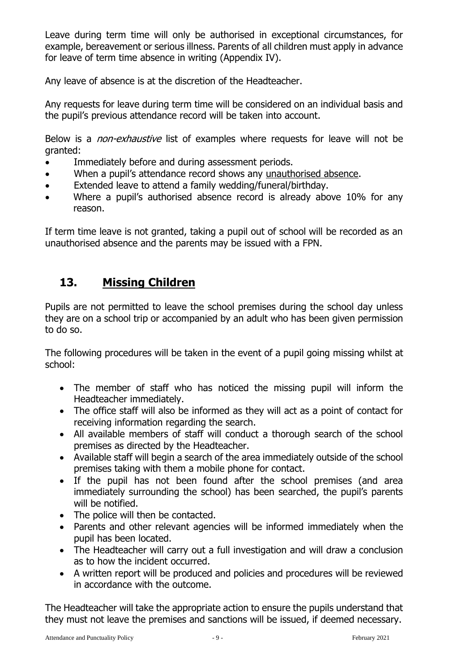Leave during term time will only be authorised in exceptional circumstances, for example, bereavement or serious illness. Parents of all children must apply in advance for leave of term time absence in writing (Appendix IV).

Any leave of absence is at the discretion of the Headteacher.

Any requests for leave during term time will be considered on an individual basis and the pupil's previous attendance record will be taken into account.

Below is a *non-exhaustive* list of examples where requests for leave will not be granted:

- Immediately before and during assessment periods.
- When a pupil's attendance record shows any unauthorised absence.
- Extended leave to attend a family wedding/funeral/birthday.
- Where a pupil's authorised absence record is already above 10% for any reason.

If term time leave is not granted, taking a pupil out of school will be recorded as an unauthorised absence and the parents may be issued with a FPN.

# **13. Missing Children**

Pupils are not permitted to leave the school premises during the school day unless they are on a school trip or accompanied by an adult who has been given permission to do so.

The following procedures will be taken in the event of a pupil going missing whilst at school:

- The member of staff who has noticed the missing pupil will inform the Headteacher immediately.
- The office staff will also be informed as they will act as a point of contact for receiving information regarding the search.
- All available members of staff will conduct a thorough search of the school premises as directed by the Headteacher.
- Available staff will begin a search of the area immediately outside of the school premises taking with them a mobile phone for contact.
- If the pupil has not been found after the school premises (and area immediately surrounding the school) has been searched, the pupil's parents will be notified.
- The police will then be contacted.
- Parents and other relevant agencies will be informed immediately when the pupil has been located.
- The Headteacher will carry out a full investigation and will draw a conclusion as to how the incident occurred.
- A written report will be produced and policies and procedures will be reviewed in accordance with the outcome.

The Headteacher will take the appropriate action to ensure the pupils understand that they must not leave the premises and sanctions will be issued, if deemed necessary.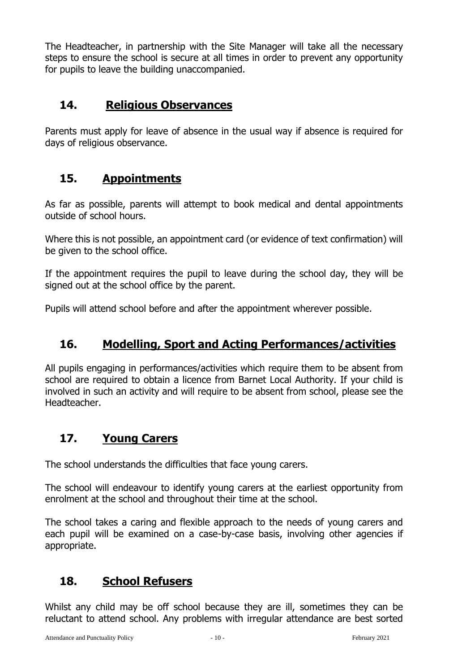The Headteacher, in partnership with the Site Manager will take all the necessary steps to ensure the school is secure at all times in order to prevent any opportunity for pupils to leave the building unaccompanied.

# **14. Religious Observances**

Parents must apply for leave of absence in the usual way if absence is required for days of religious observance.

# **15. Appointments**

As far as possible, parents will attempt to book medical and dental appointments outside of school hours.

Where this is not possible, an appointment card (or evidence of text confirmation) will be given to the school office.

If the appointment requires the pupil to leave during the school day, they will be signed out at the school office by the parent.

Pupils will attend school before and after the appointment wherever possible.

# **16. Modelling, Sport and Acting Performances/activities**

All pupils engaging in performances/activities which require them to be absent from school are required to obtain a licence from Barnet Local Authority. If your child is involved in such an activity and will require to be absent from school, please see the Headteacher.

# **17. Young Carers**

The school understands the difficulties that face young carers.

The school will endeavour to identify young carers at the earliest opportunity from enrolment at the school and throughout their time at the school.

The school takes a caring and flexible approach to the needs of young carers and each pupil will be examined on a case-by-case basis, involving other agencies if appropriate.

# **18. School Refusers**

Whilst any child may be off school because they are ill, sometimes they can be reluctant to attend school. Any problems with irregular attendance are best sorted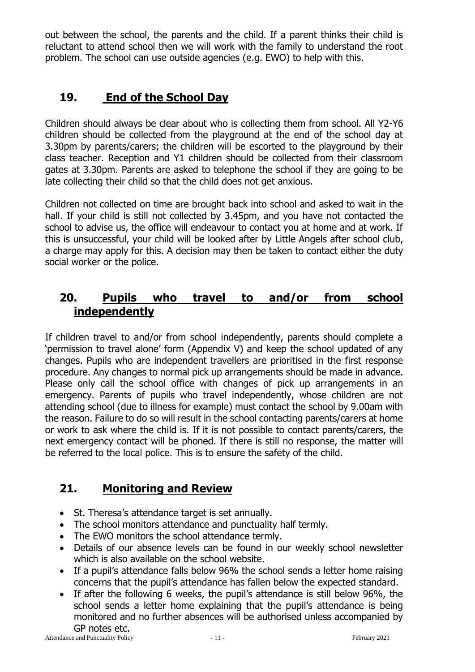out between the school, the parents and the child. If a parent thinks their child is reluctant to attend school then we will work with the family to understand the root problem. The school can use outside agencies (e.g. EWO) to help with this.

# **19. End of the School Day**

Children should always be clear about who is collecting them from school. All Y2-Y6 children should be collected from the playground at the end of the school day at 3.30pm by parents/carers; the children will be escorted to the playground by their class teacher. Reception and Y1 children should be collected from their classroom gates at 3.30pm. Parents are asked to telephone the school if they are going to be late collecting their child so that the child does not get anxious.

Children not collected on time are brought back into school and asked to wait in the hall. If your child is still not collected by 3.45pm, and you have not contacted the school to advise us, the office will endeavour to contact you at home and at work. If this is unsuccessful, your child will be looked after by Little Angels after school club, a charge may apply for this. A decision may then be taken to contact either the duty social worker or the police.

# **20. Pupils who travel to and/or from school independently**

If children travel to and/or from school independently, parents should complete a 'permission to travel alone' form (Appendix V) and keep the school updated of any changes. Pupils who are independent travellers are prioritised in the first response procedure. Any changes to normal pick up arrangements should be made in advance. Please only call the school office with changes of pick up arrangements in an emergency. Parents of pupils who travel independently, whose children are not attending school (due to illness for example) must contact the school by 9.00am with the reason. Failure to do so will result in the school contacting parents/carers at home or work to ask where the child is. If it is not possible to contact parents/carers, the next emergency contact will be phoned. If there is still no response, the matter will be referred to the local police. This is to ensure the safety of the child.

# **21. Monitoring and Review**

- St. Theresa's attendance target is set annually.
- The school monitors attendance and punctuality half termly.
- The EWO monitors the school attendance termly.
- Details of our absence levels can be found in our weekly school newsletter which is also available on the school website.
- If a pupil's attendance falls below 96% the school sends a letter home raising concerns that the pupil's attendance has fallen below the expected standard.
- If after the following 6 weeks, the pupil's attendance is still below 96%, the school sends a letter home explaining that the pupil's attendance is being monitored and no further absences will be authorised unless accompanied by GP notes etc.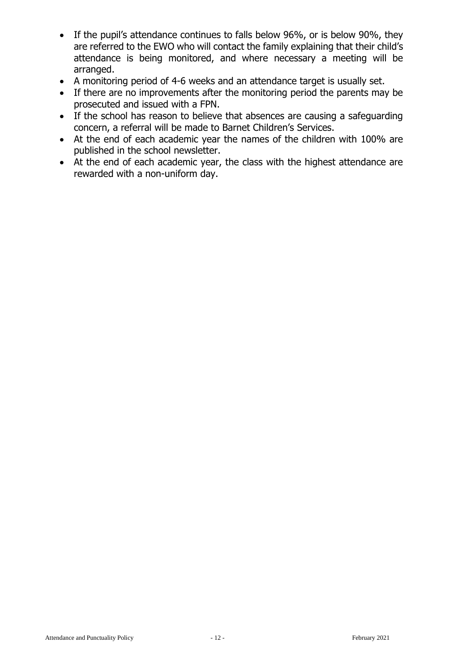- If the pupil's attendance continues to falls below 96%, or is below 90%, they are referred to the EWO who will contact the family explaining that their child's attendance is being monitored, and where necessary a meeting will be arranged.
- A monitoring period of 4-6 weeks and an attendance target is usually set.
- If there are no improvements after the monitoring period the parents may be prosecuted and issued with a FPN.
- If the school has reason to believe that absences are causing a safeguarding concern, a referral will be made to Barnet Children's Services.
- At the end of each academic year the names of the children with 100% are published in the school newsletter.
- At the end of each academic year, the class with the highest attendance are rewarded with a non-uniform day.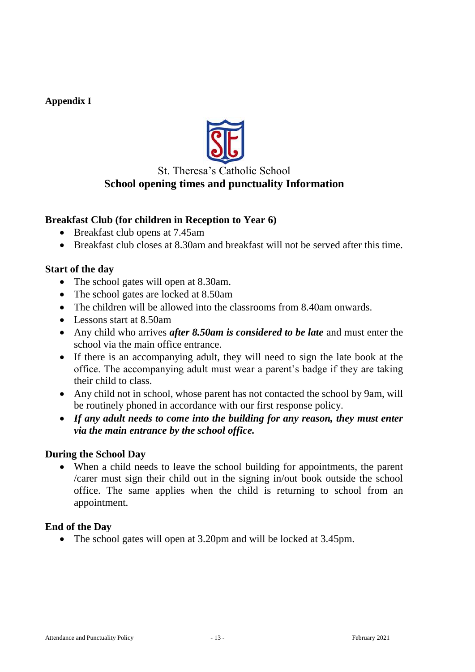#### **Appendix I**



#### St. Theresa's Catholic School **School opening times and punctuality Information**

#### **Breakfast Club (for children in Reception to Year 6)**

- Breakfast club opens at 7.45am
- Breakfast club closes at 8.30am and breakfast will not be served after this time.

#### **Start of the day**

- The school gates will open at 8.30am.
- The school gates are locked at 8.50am
- The children will be allowed into the classrooms from 8.40am onwards.
- Lessons start at 8.50am
- Any child who arrives *after 8.50am is considered to be late* and must enter the school via the main office entrance.
- If there is an accompanying adult, they will need to sign the late book at the office. The accompanying adult must wear a parent's badge if they are taking their child to class.
- Any child not in school, whose parent has not contacted the school by 9am, will be routinely phoned in accordance with our first response policy.
- *If any adult needs to come into the building for any reason, they must enter via the main entrance by the school office.*

#### **During the School Day**

 When a child needs to leave the school building for appointments, the parent /carer must sign their child out in the signing in/out book outside the school office. The same applies when the child is returning to school from an appointment.

#### **End of the Day**

• The school gates will open at 3.20pm and will be locked at 3.45pm.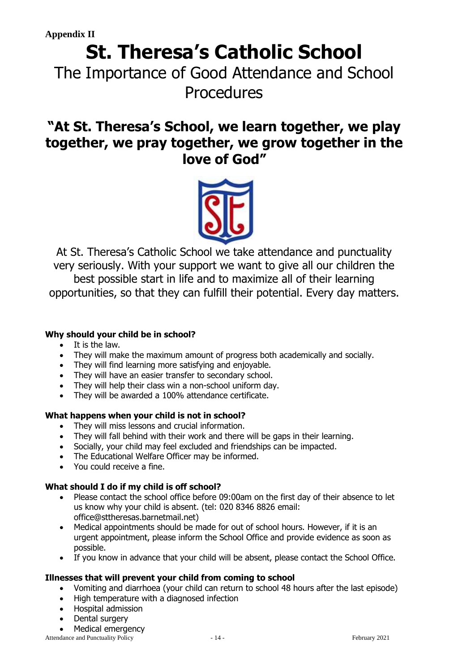# **St. Theresa's Catholic School**

The Importance of Good Attendance and School Procedures

# **"At St. Theresa's School, we learn together, we play together, we pray together, we grow together in the love of God"**



At St. Theresa's Catholic School we take attendance and punctuality very seriously. With your support we want to give all our children the best possible start in life and to maximize all of their learning opportunities, so that they can fulfill their potential. Every day matters.

#### **Why should your child be in school?**

- $\bullet$  It is the law.
- They will make the maximum amount of progress both academically and socially.
- They will find learning more satisfying and enjoyable.
- They will have an easier transfer to secondary school.
- They will help their class win a non-school uniform day.
- They will be awarded a 100% attendance certificate.

#### **What happens when your child is not in school?**

- They will miss lessons and crucial information.
- They will fall behind with their work and there will be gaps in their learning.
- Socially, your child may feel excluded and friendships can be impacted.
- The Educational Welfare Officer may be informed.
- You could receive a fine.

#### **What should I do if my child is off school?**

- Please contact the school office before 09:00am on the first day of their absence to let us know why your child is absent. (tel: 020 8346 8826 email: office@sttheresas.barnetmail.net)
- Medical appointments should be made for out of school hours. However, if it is an urgent appointment, please inform the School Office and provide evidence as soon as possible.
- If you know in advance that your child will be absent, please contact the School Office.

#### **Illnesses that will prevent your child from coming to school**

- Vomiting and diarrhoea (your child can return to school 48 hours after the last episode)
- High temperature with a diagnosed infection
- Hospital admission
- Dental surgery

• Medical emergency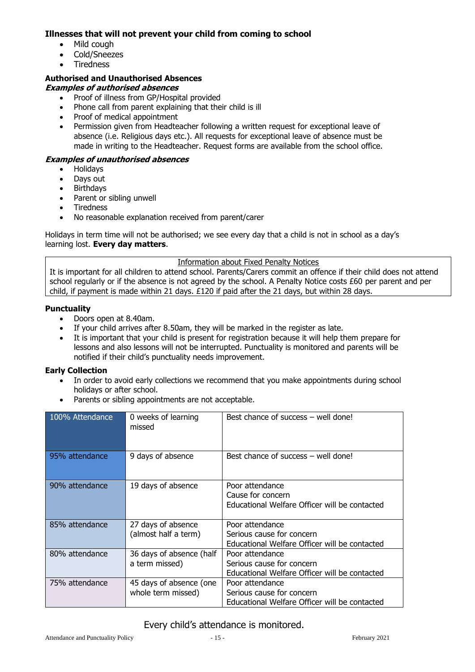#### **Illnesses that will not prevent your child from coming to school**

- Mild cough
- Cold/Sneezes
- **Tiredness**

#### **Authorised and Unauthorised Absences**

#### **Examples of authorised absences**

- Proof of illness from GP/Hospital provided
- Phone call from parent explaining that their child is ill
- Proof of medical appointment
- Permission given from Headteacher following a written request for exceptional leave of absence (i.e. Religious days etc.). All requests for exceptional leave of absence must be made in writing to the Headteacher. Request forms are available from the school office.

#### **Examples of unauthorised absences**

- Holidays
- Days out
- Birthdays
- Parent or sibling unwell
- Tiredness
- No reasonable explanation received from parent/carer

Holidays in term time will not be authorised; we see every day that a child is not in school as a day's learning lost. **Every day matters**.

#### Information about Fixed Penalty Notices

It is important for all children to attend school. Parents/Carers commit an offence if their child does not attend school regularly or if the absence is not agreed by the school. A Penalty Notice costs £60 per parent and per child, if payment is made within 21 days. £120 if paid after the 21 days, but within 28 days.

#### **Punctuality**

- Doors open at 8.40am.
- If your child arrives after 8.50am, they will be marked in the register as late.
- It is important that your child is present for registration because it will help them prepare for lessons and also lessons will not be interrupted. Punctuality is monitored and parents will be notified if their child's punctuality needs improvement.

#### **Early Collection**

- In order to avoid early collections we recommend that you make appointments during school holidays or after school.
- Parents or sibling appointments are not acceptable.

| 100% Attendance | 0 weeks of learning<br>missed                 | Best chance of success - well done!                                                           |
|-----------------|-----------------------------------------------|-----------------------------------------------------------------------------------------------|
| 95% attendance  | 9 days of absence                             | Best chance of success – well done!                                                           |
| 90% attendance  | 19 days of absence                            | Poor attendance<br>Cause for concern<br>Educational Welfare Officer will be contacted         |
| 85% attendance  | 27 days of absence<br>(almost half a term)    | Poor attendance<br>Serious cause for concern<br>Educational Welfare Officer will be contacted |
| 80% attendance  | 36 days of absence (half<br>a term missed)    | Poor attendance<br>Serious cause for concern<br>Educational Welfare Officer will be contacted |
| 75% attendance  | 45 days of absence (one<br>whole term missed) | Poor attendance<br>Serious cause for concern<br>Educational Welfare Officer will be contacted |

#### Every child's attendance is monitored.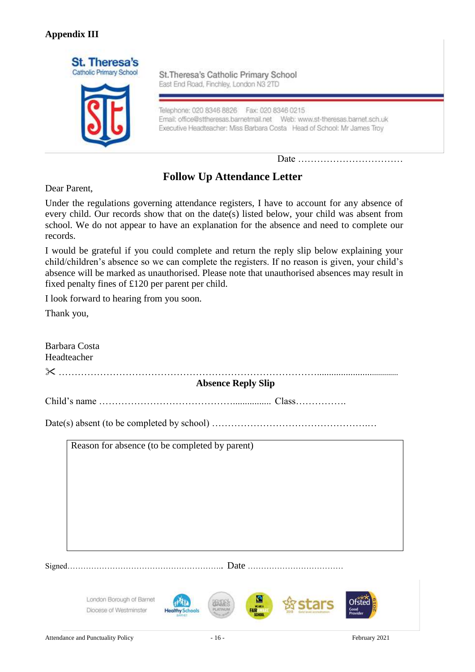#### **Appendix III**



St.Theresa's Catholic Primary School East End Road, Finchley, London N3 2TD

Telephone: 020 8346 8826 Fax: 020 8346 0215 Executive Headteacher: Miss Barbara Costa Head of School: Mr James Troy

Date ……………………………

# **Follow Up Attendance Letter**

Dear Parent,

Under the regulations governing attendance registers, I have to account for any absence of every child. Our records show that on the date(s) listed below, your child was absent from school. We do not appear to have an explanation for the absence and need to complete our records.

I would be grateful if you could complete and return the reply slip below explaining your child/children's absence so we can complete the registers. If no reason is given, your child's absence will be marked as unauthorised. Please note that unauthorised absences may result in fixed penalty fines of £120 per parent per child.

I look forward to hearing from you soon.

Thank you,

| Barbara Costa<br>Headteacher                       |                                                                  |                 |  |  |  |
|----------------------------------------------------|------------------------------------------------------------------|-----------------|--|--|--|
| <b>Absence Reply Slip</b>                          |                                                                  |                 |  |  |  |
|                                                    |                                                                  |                 |  |  |  |
|                                                    |                                                                  |                 |  |  |  |
| Reason for absence (to be completed by parent)     |                                                                  |                 |  |  |  |
| London Borough of Barnet<br>Diocese of Westminster | G<br><b>MEAREA</b><br><b>PE-ATINEE</b><br><b>Healthy Schools</b> | Good<br>Provide |  |  |  |
| Attendance and Punctuality Policy                  | $-16-$                                                           | February 2021   |  |  |  |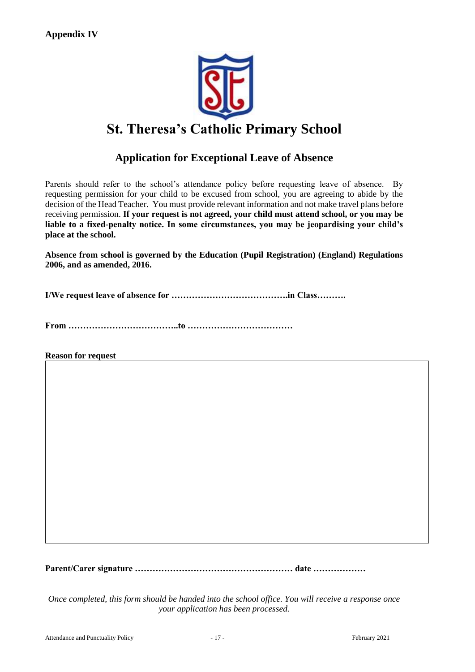

# **St. Theresa's Catholic Primary School**

# **Application for Exceptional Leave of Absence**

Parents should refer to the school's attendance policy before requesting leave of absence. By requesting permission for your child to be excused from school, you are agreeing to abide by the decision of the Head Teacher. You must provide relevant information and not make travel plans before receiving permission. **If your request is not agreed, your child must attend school, or you may be liable to a fixed-penalty notice. In some circumstances, you may be jeopardising your child's place at the school.**

**Absence from school is governed by the Education (Pupil Registration) (England) Regulations 2006, and as amended, 2016.**

**I/We request leave of absence for ………………………………….in Class……….**

**From ………………………………..to ………………………………**

**Reason for request**

**Parent/Carer signature ……………………………………………… date ………………**

*Once completed, this form should be handed into the school office. You will receive a response once your application has been processed.*